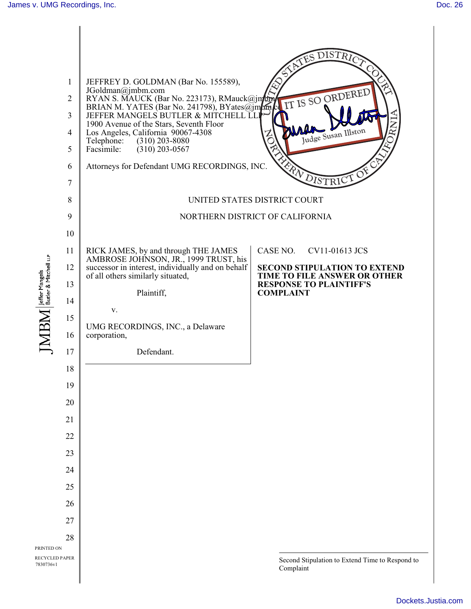

[Dockets.Justia.com](http://dockets.justia.com/)